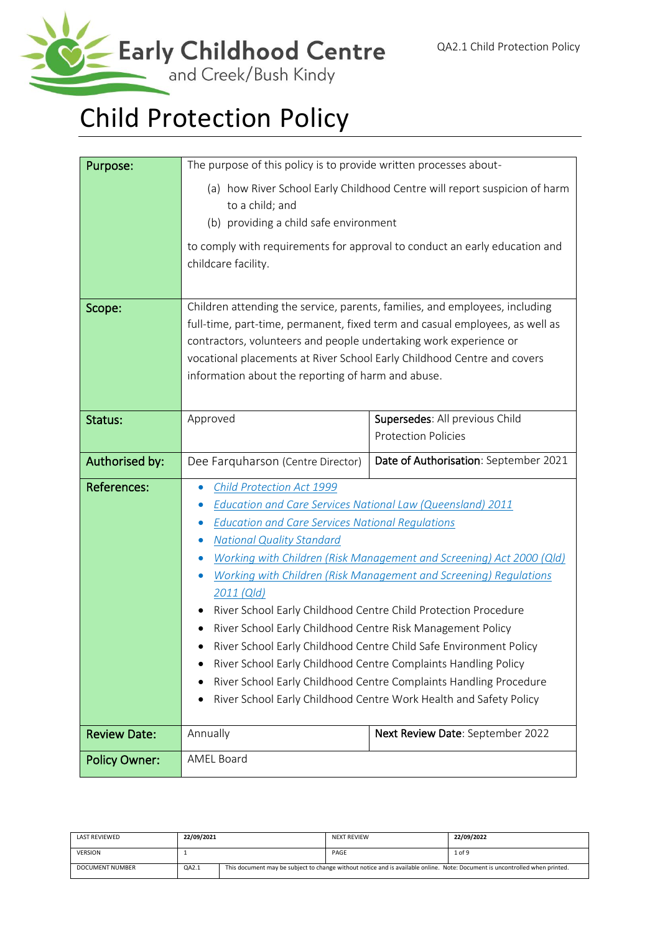

# Child Protection Policy

| Purpose:             | The purpose of this policy is to provide written processes about-                                                                                                                                                                                                                                                                                                                                                                                                                                                                                                                                                                                                                                                                                                                                   |                                                              |  |  |  |
|----------------------|-----------------------------------------------------------------------------------------------------------------------------------------------------------------------------------------------------------------------------------------------------------------------------------------------------------------------------------------------------------------------------------------------------------------------------------------------------------------------------------------------------------------------------------------------------------------------------------------------------------------------------------------------------------------------------------------------------------------------------------------------------------------------------------------------------|--------------------------------------------------------------|--|--|--|
|                      | (a) how River School Early Childhood Centre will report suspicion of harm<br>to a child; and                                                                                                                                                                                                                                                                                                                                                                                                                                                                                                                                                                                                                                                                                                        |                                                              |  |  |  |
|                      | (b) providing a child safe environment<br>to comply with requirements for approval to conduct an early education and<br>childcare facility.                                                                                                                                                                                                                                                                                                                                                                                                                                                                                                                                                                                                                                                         |                                                              |  |  |  |
| Scope:               | Children attending the service, parents, families, and employees, including<br>full-time, part-time, permanent, fixed term and casual employees, as well as<br>contractors, volunteers and people undertaking work experience or<br>vocational placements at River School Early Childhood Centre and covers<br>information about the reporting of harm and abuse.                                                                                                                                                                                                                                                                                                                                                                                                                                   |                                                              |  |  |  |
| Status:              | Approved                                                                                                                                                                                                                                                                                                                                                                                                                                                                                                                                                                                                                                                                                                                                                                                            | Supersedes: All previous Child<br><b>Protection Policies</b> |  |  |  |
| Authorised by:       | Dee Farquharson (Centre Director)                                                                                                                                                                                                                                                                                                                                                                                                                                                                                                                                                                                                                                                                                                                                                                   | Date of Authorisation: September 2021                        |  |  |  |
| <b>References:</b>   | Child Protection Act 1999<br>$\bullet$<br><b>Education and Care Services National Law (Queensland) 2011</b><br>$\bullet$<br><b>Education and Care Services National Regulations</b><br><b>National Quality Standard</b><br>Working with Children (Risk Management and Screening) Act 2000 (Qld)<br>Working with Children (Risk Management and Screening) Regulations<br>2011 (Qld)<br>River School Early Childhood Centre Child Protection Procedure<br>River School Early Childhood Centre Risk Management Policy<br>River School Early Childhood Centre Child Safe Environment Policy<br>River School Early Childhood Centre Complaints Handling Policy<br>River School Early Childhood Centre Complaints Handling Procedure<br>River School Early Childhood Centre Work Health and Safety Policy |                                                              |  |  |  |
| <b>Review Date:</b>  | Annually                                                                                                                                                                                                                                                                                                                                                                                                                                                                                                                                                                                                                                                                                                                                                                                            | Next Review Date: September 2022                             |  |  |  |
| <b>Policy Owner:</b> | <b>AMEL Board</b>                                                                                                                                                                                                                                                                                                                                                                                                                                                                                                                                                                                                                                                                                                                                                                                   |                                                              |  |  |  |

| <b>LAST REVIEWED</b> | 22/09/2021 | <b>NEXT REVIEW</b> | 22/09/2022                                                                                                                  |
|----------------------|------------|--------------------|-----------------------------------------------------------------------------------------------------------------------------|
| <b>VERSION</b>       |            | PAGE               | 1 of 9                                                                                                                      |
| DOCUMENT NUMBER      | QA2.1      |                    | This document may be subject to change without notice and is available online. Note: Document is uncontrolled when printed. |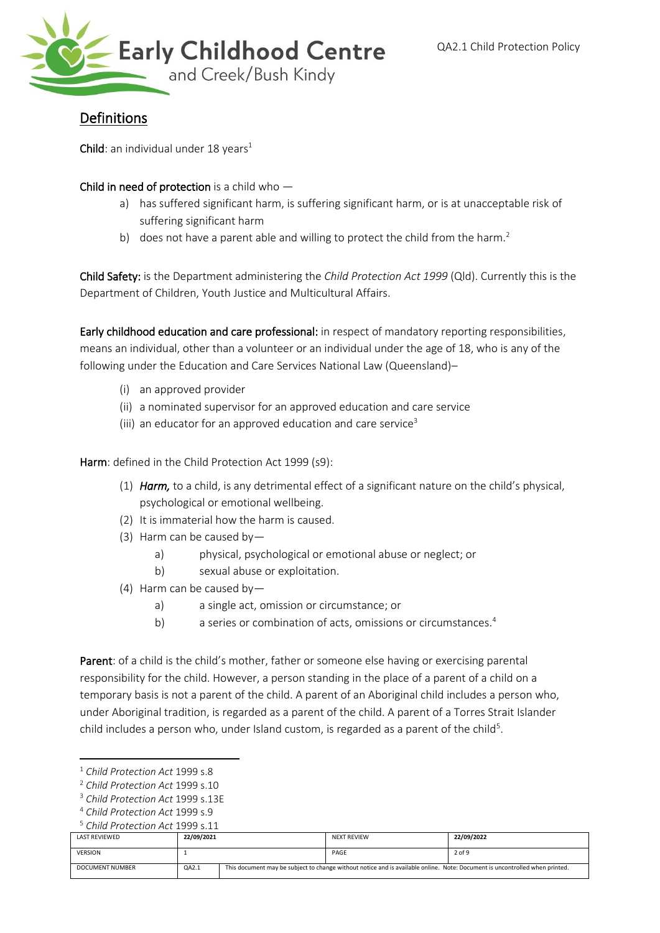

# Definitions

Child: an individual under 18 years<sup>1</sup>

#### Child in need of protection is a child who -

- a) has suffered significant harm, is suffering significant harm, or is at unacceptable risk of suffering significant harm
- b) does not have a parent able and willing to protect the child from the harm.<sup>2</sup>

Child Safety: is the Department administering the *Child Protection Act 1999* (Qld). Currently this is the Department of Children, Youth Justice and Multicultural Affairs.

Early childhood education and care professional: in respect of mandatory reporting responsibilities, means an individual, other than a volunteer or an individual under the age of 18, who is any of the following under the Education and Care Services National Law (Queensland)–

- (i) an approved provider
- (ii) a nominated supervisor for an approved education and care service
- (iii) an educator for an approved education and care service<sup>3</sup>

Harm: defined in the Child Protection Act 1999 (s9):

- (1) *Harm,* to a child, is any detrimental effect of a significant nature on the child's physical, psychological or emotional wellbeing.
- (2) It is immaterial how the harm is caused.
- (3) Harm can be caused by
	- a) physical, psychological or emotional abuse or neglect; or
	- b) sexual abuse or exploitation.
- (4) Harm can be caused by
	- a) a single act, omission or circumstance; or
	- b) a series or combination of acts, omissions or circumstances.<sup>4</sup>

Parent: of a child is the child's mother, father or someone else having or exercising parental responsibility for the child. However, a person standing in the place of a parent of a child on a temporary basis is not a parent of the child. A parent of an Aboriginal child includes a person who, under Aboriginal tradition, is regarded as a parent of the child. A parent of a Torres Strait Islander child includes a person who, under Island custom, is regarded as a parent of the child<sup>5</sup>.

<sup>5</sup> *Child Protection Act* 1999 s.11

| LAST REVIEWED   | 22/09/2021 |  | <b>NEXT REVIEW</b>                                                                                                          | 22/09/2022 |
|-----------------|------------|--|-----------------------------------------------------------------------------------------------------------------------------|------------|
| <b>VERSION</b>  |            |  | PAGE                                                                                                                        | 2 of 9     |
| DOCUMENT NUMBER | QA2.1      |  | This document may be subject to change without notice and is available online. Note: Document is uncontrolled when printed. |            |

<sup>1</sup> *Child Protection Act* 1999 s.8

<sup>2</sup> *Child Protection Act* 1999 s.10

<sup>3</sup> *Child Protection Act* 1999 s.13E

<sup>4</sup> *Child Protection Act* 1999 s.9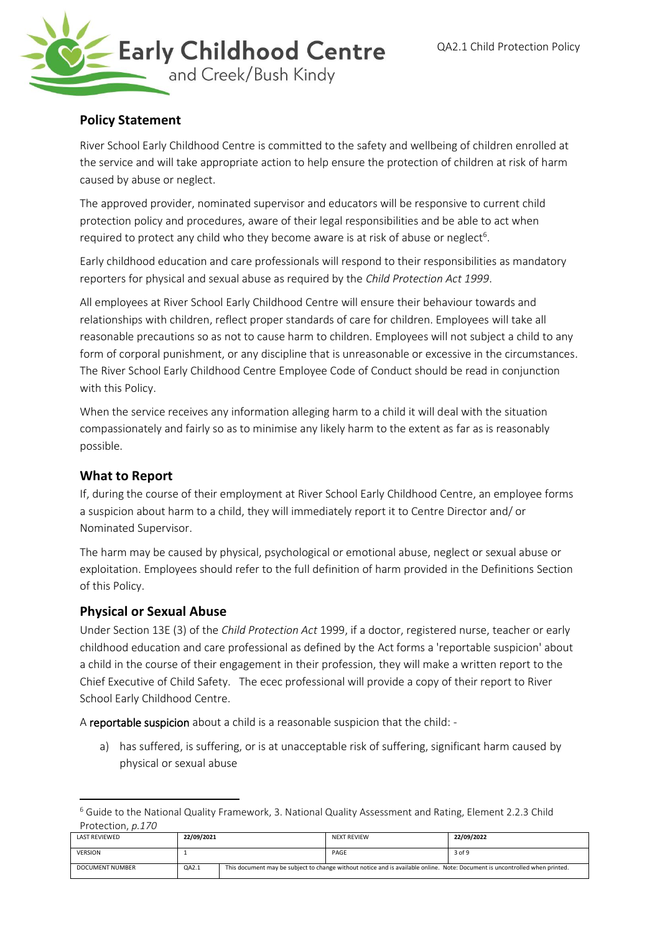

# **Policy Statement**

River School Early Childhood Centre is committed to the safety and wellbeing of children enrolled at the service and will take appropriate action to help ensure the protection of children at risk of harm caused by abuse or neglect.

The approved provider, nominated supervisor and educators will be responsive to current child protection policy and procedures, aware of their legal responsibilities and be able to act when required to protect any child who they become aware is at risk of abuse or neglect<sup>6</sup>.

Early childhood education and care professionals will respond to their responsibilities as mandatory reporters for physical and sexual abuse as required by the *Child Protection Act 1999*.

All employees at River School Early Childhood Centre will ensure their behaviour towards and relationships with children, reflect proper standards of care for children. Employees will take all reasonable precautions so as not to cause harm to children. Employees will not subject a child to any form of corporal punishment, or any discipline that is unreasonable or excessive in the circumstances. The River School Early Childhood Centre Employee Code of Conduct should be read in conjunction with this Policy.

When the service receives any information alleging harm to a child it will deal with the situation compassionately and fairly so as to minimise any likely harm to the extent as far as is reasonably possible.

### **What to Report**

If, during the course of their employment at River School Early Childhood Centre, an employee forms a suspicion about harm to a child, they will immediately report it to Centre Director and/ or Nominated Supervisor.

The harm may be caused by physical, psychological or emotional abuse, neglect or sexual abuse or exploitation. Employees should refer to the full definition of harm provided in the Definitions Section of this Policy.

# **Physical or Sexual Abuse**

Under Section 13E (3) of the *Child Protection Act* 1999, if a doctor, registered nurse, teacher or early childhood education and care professional as defined by the Act forms a 'reportable suspicion' about a child in the course of their engagement in their profession, they will make a written report to the Chief Executive of Child Safety. The ecec professional will provide a copy of their report to River School Early Childhood Centre.

A reportable suspicion about a child is a reasonable suspicion that the child: -

a) has suffered, is suffering, or is at unacceptable risk of suffering, significant harm caused by physical or sexual abuse

<sup>6</sup> Guide to the National Quality Framework, 3. National Quality Assessment and Rating, Element 2.2.3 Child Protection, *p.170*

| LAST REVIEWED   | 22/09/2021 | <b>NEXT REVIEW</b> | 22/09/2022                                                                                                                  |
|-----------------|------------|--------------------|-----------------------------------------------------------------------------------------------------------------------------|
| <b>VERSION</b>  |            | PAGE               | 3 of 9                                                                                                                      |
| DOCUMENT NUMBER | QA2.1      |                    | This document may be subject to change without notice and is available online. Note: Document is uncontrolled when printed. |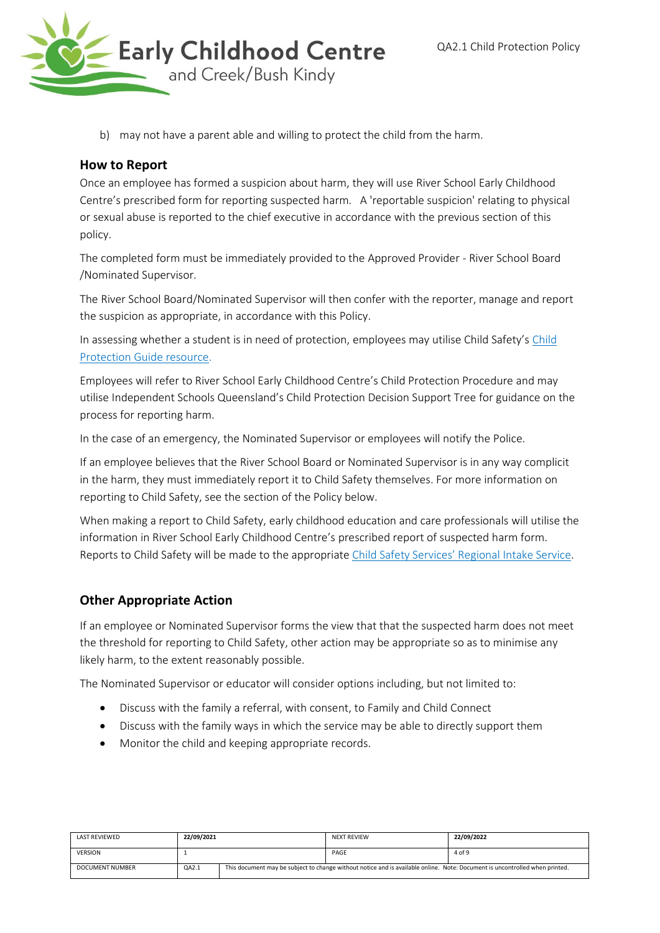

b) may not have a parent able and willing to protect the child from the harm.

## **How to Report**

Once an employee has formed a suspicion about harm, they will use River School Early Childhood Centre's prescribed form for reporting suspected harm. A 'reportable suspicion' relating to physical or sexual abuse is reported to the chief executive in accordance with the previous section of this policy.

The completed form must be immediately provided to the Approved Provider - River School Board /Nominated Supervisor.

The River School Board/Nominated Supervisor will then confer with the reporter, manage and report the suspicion as appropriate, in accordance with this Policy.

In assessing whether a student is in need of protection, employees may utilise Child Safety's [Child](http://www.communities.qld.gov.au/childsafety/partners/our-government-partners/queensland-child-protection-guide/online-child-protection-guide)  [Protection Guide resource.](http://www.communities.qld.gov.au/childsafety/partners/our-government-partners/queensland-child-protection-guide/online-child-protection-guide)

Employees will refer to River School Early Childhood Centre's Child Protection Procedure and may utilise Independent Schools Queensland's Child Protection Decision Support Tree for guidance on the process for reporting harm.

In the case of an emergency, the Nominated Supervisor or employees will notify the Police.

If an employee believes that the River School Board or Nominated Supervisor is in any way complicit in the harm, they must immediately report it to Child Safety themselves. For more information on reporting to Child Safety, see the section of the Policy below.

When making a report to Child Safety, early childhood education and care professionals will utilise the information in River School Early Childhood Centre's prescribed report of suspected harm form. Reports to Child Safety will be made to the appropriate [Child Safety Services' Regional Intake Service](http://www.communities.qld.gov.au/childsafety/about-us/contact-us/child-safety-service-centres/regional-intake-services).

# **Other Appropriate Action**

If an employee or Nominated Supervisor forms the view that that the suspected harm does not meet the threshold for reporting to Child Safety, other action may be appropriate so as to minimise any likely harm, to the extent reasonably possible.

The Nominated Supervisor or educator will consider options including, but not limited to:

- Discuss with the family a referral, with consent, to Family and Child Connect
- Discuss with the family ways in which the service may be able to directly support them
- Monitor the child and keeping appropriate records.

| <b>LAST REVIEWED</b> | 22/09/2021 | <b>NEXT REVIEW</b>                                                                                                          | 22/09/2022 |
|----------------------|------------|-----------------------------------------------------------------------------------------------------------------------------|------------|
| <b>VERSION</b>       |            | PAGE                                                                                                                        | 4 of 9     |
| DOCUMENT NUMBER      | QA2.1      | This document may be subject to change without notice and is available online. Note: Document is uncontrolled when printed. |            |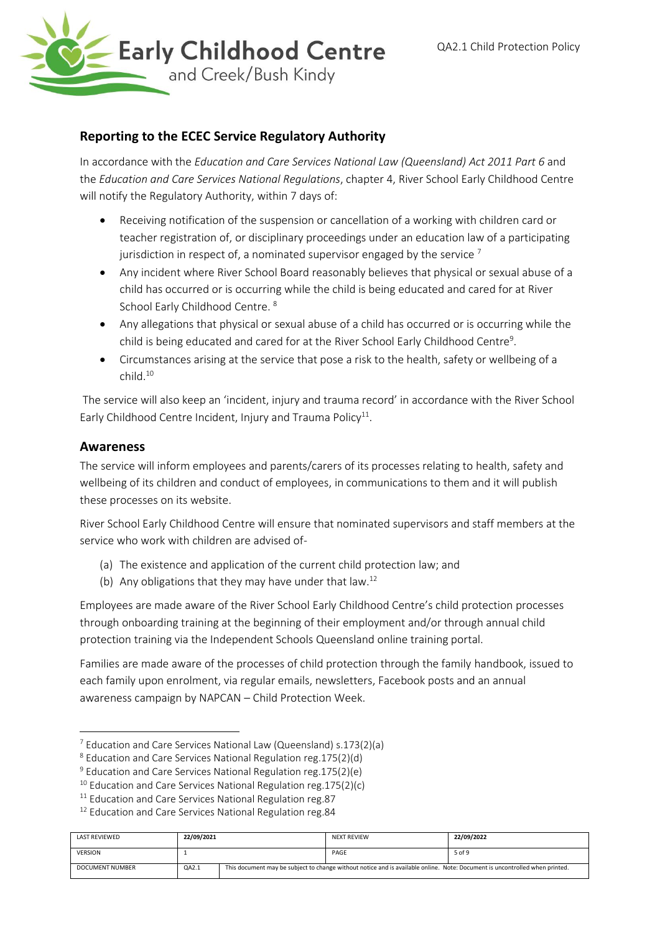

## **Reporting to the ECEC Service Regulatory Authority**

In accordance with the *Education and Care Services National Law (Queensland) Act 2011 Part 6* and the *Education and Care Services National Regulations*, chapter 4, River School Early Childhood Centre will notify the Regulatory Authority, within 7 days of:

- Receiving notification of the suspension or cancellation of a working with children card or teacher registration of, or disciplinary proceedings under an education law of a participating jurisdiction in respect of, a nominated supervisor engaged by the service  $<sup>7</sup>$ </sup>
- Any incident where River School Board reasonably believes that physical or sexual abuse of a child has occurred or is occurring while the child is being educated and cared for at River School Early Childhood Centre.<sup>8</sup>
- Any allegations that physical or sexual abuse of a child has occurred or is occurring while the child is being educated and cared for at the River School Early Childhood Centre<sup>9</sup>.
- Circumstances arising at the service that pose a risk to the health, safety or wellbeing of a child.<sup>10</sup>

The service will also keep an 'incident, injury and trauma record' in accordance with the River School Early Childhood Centre Incident, Injury and Trauma Policy<sup>11</sup>.

#### **Awareness**

The service will inform employees and parents/carers of its processes relating to health, safety and wellbeing of its children and conduct of employees, in communications to them and it will publish these processes on its website.

River School Early Childhood Centre will ensure that nominated supervisors and staff members at the service who work with children are advised of-

- (a) The existence and application of the current child protection law; and
- (b) Any obligations that they may have under that law.<sup>12</sup>

Employees are made aware of the River School Early Childhood Centre's child protection processes through onboarding training at the beginning of their employment and/or through annual child protection training via the Independent Schools Queensland online training portal.

Families are made aware of the processes of child protection through the family handbook, issued to each family upon enrolment, via regular emails, newsletters, Facebook posts and an annual awareness campaign by NAPCAN – Child Protection Week.

<sup>&</sup>lt;sup>12</sup> Education and Care Services National Regulation reg.84

| <b>LAST REVIEWED</b>   | 22/09/2021 | <b>NEXT REVIEW</b>                                                                                                          | 22/09/2022 |
|------------------------|------------|-----------------------------------------------------------------------------------------------------------------------------|------------|
| <b>VERSION</b>         |            | PAGE                                                                                                                        | 5 of 9     |
| <b>DOCUMENT NUMBER</b> | QA2.1      | This document may be subject to change without notice and is available online. Note: Document is uncontrolled when printed. |            |

<sup>7</sup> Education and Care Services National Law (Queensland) s.173(2)(a)

<sup>8</sup> Education and Care Services National Regulation reg.175(2)(d)

<sup>9</sup> Education and Care Services National Regulation reg.175(2)(e)

 $10$  Education and Care Services National Regulation reg. 175(2)(c)

 $11$  Education and Care Services National Regulation reg.87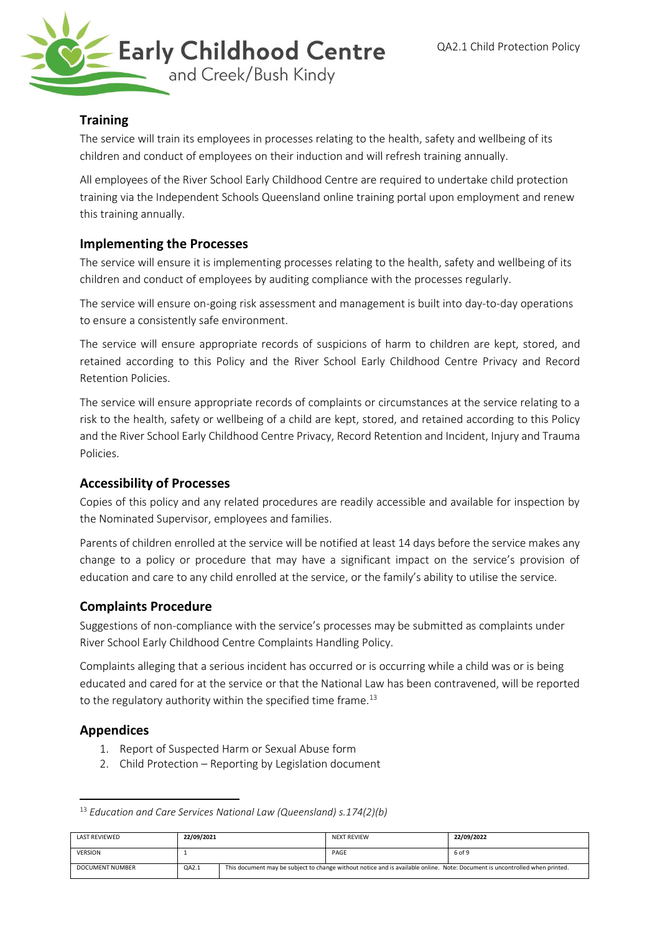

### **Training**

The service will train its employees in processes relating to the health, safety and wellbeing of its children and conduct of employees on their induction and will refresh training annually.

All employees of the River School Early Childhood Centre are required to undertake child protection training via the Independent Schools Queensland online training portal upon employment and renew this training annually.

### **Implementing the Processes**

The service will ensure it is implementing processes relating to the health, safety and wellbeing of its children and conduct of employees by auditing compliance with the processes regularly.

The service will ensure on-going risk assessment and management is built into day-to-day operations to ensure a consistently safe environment.

The service will ensure appropriate records of suspicions of harm to children are kept, stored, and retained according to this Policy and the River School Early Childhood Centre Privacy and Record Retention Policies.

The service will ensure appropriate records of complaints or circumstances at the service relating to a risk to the health, safety or wellbeing of a child are kept, stored, and retained according to this Policy and the River School Early Childhood Centre Privacy, Record Retention and Incident, Injury and Trauma Policies.

#### **Accessibility of Processes**

Copies of this policy and any related procedures are readily accessible and available for inspection by the Nominated Supervisor, employees and families.

Parents of children enrolled at the service will be notified at least 14 days before the service makes any change to a policy or procedure that may have a significant impact on the service's provision of education and care to any child enrolled at the service, or the family's ability to utilise the service.

#### **Complaints Procedure**

Suggestions of non-compliance with the service's processes may be submitted as complaints under River School Early Childhood Centre Complaints Handling Policy.

Complaints alleging that a serious incident has occurred or is occurring while a child was or is being educated and cared for at the service or that the National Law has been contravened, will be reported to the regulatory authority within the specified time frame.<sup>13</sup>

#### **Appendices**

- 1. Report of Suspected Harm or Sexual Abuse form
- 2. Child Protection Reporting by Legislation document

<sup>13</sup> *Education and Care Services National Law (Queensland) s.174(2)(b)*

| <b>LAST REVIEWED</b> | 22/09/2021 | <b>NEXT REVIEW</b>                                                                                                          | 22/09/2022 |
|----------------------|------------|-----------------------------------------------------------------------------------------------------------------------------|------------|
| <b>VERSION</b>       |            | PAGE                                                                                                                        | 6 of 9     |
| DOCUMENT NUMBER      | QA2.1      | This document may be subject to change without notice and is available online. Note: Document is uncontrolled when printed. |            |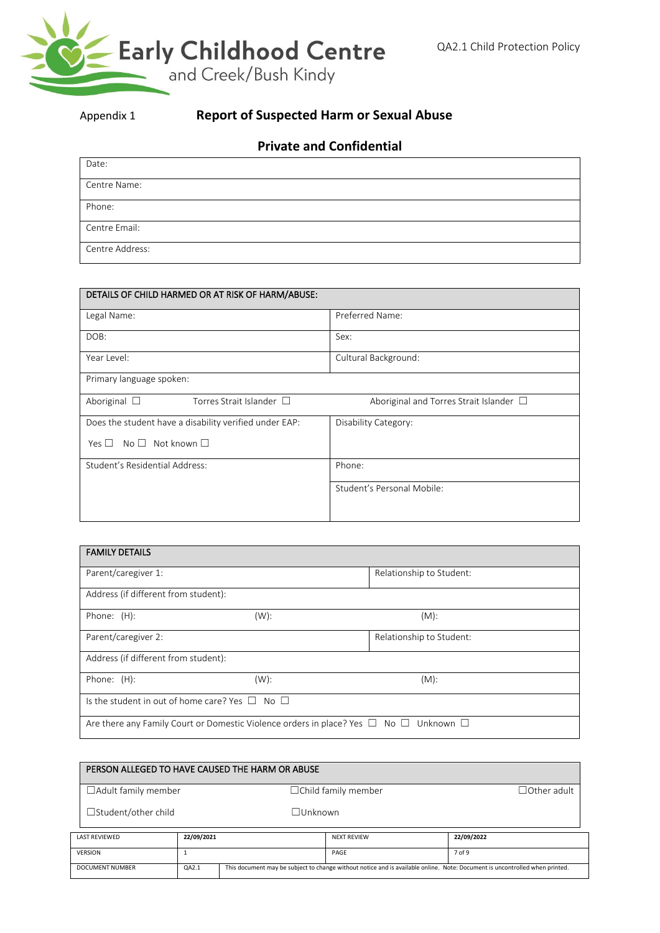

# Appendix 1 **Report of Suspected Harm or Sexual Abuse**

# **Private and Confidential**

| Date:           |
|-----------------|
| Centre Name:    |
| Phone:          |
| Centre Email:   |
| Centre Address: |

| DETAILS OF CHILD HARMED OR AT RISK OF HARM/ABUSE:      |                                              |
|--------------------------------------------------------|----------------------------------------------|
| Legal Name:                                            | Preferred Name:                              |
| DOB:                                                   | Sex:                                         |
| Year Level:                                            | Cultural Background:                         |
| Primary language spoken:                               |                                              |
| Aboriginal $\Box$<br>Torres Strait Islander $\Box$     | Aboriginal and Torres Strait Islander $\Box$ |
| Does the student have a disability verified under EAP: | Disability Category:                         |
| $No \Box$ Not known $\Box$<br>Yes $\Box$               |                                              |
| Student's Residential Address:                         | Phone:                                       |
|                                                        | Student's Personal Mobile:                   |
|                                                        |                                              |

| <b>FAMILY DETAILS</b>                                                                                      |         |                          |  |  |  |
|------------------------------------------------------------------------------------------------------------|---------|--------------------------|--|--|--|
| Parent/caregiver 1:                                                                                        |         | Relationship to Student: |  |  |  |
| Address (if different from student):                                                                       |         |                          |  |  |  |
| Phone: (H):                                                                                                | (W):    | $(M)$ :                  |  |  |  |
| Parent/caregiver 2:                                                                                        |         | Relationship to Student: |  |  |  |
| Address (if different from student):                                                                       |         |                          |  |  |  |
| Phone: $(H)$ :                                                                                             | $(W)$ : | $(M)$ :                  |  |  |  |
| Is the student in out of home care? Yes $\Box$ No $\Box$                                                   |         |                          |  |  |  |
| Are there any Family Court or Domestic Violence orders in place? Yes $\Box$ No $\Box$<br>Unknown $\square$ |         |                          |  |  |  |

| PERSON ALLEGED TO HAVE CAUSED THE HARM OR ABUSE |                                                                                                                                      |                |                            |                    |  |  |
|-------------------------------------------------|--------------------------------------------------------------------------------------------------------------------------------------|----------------|----------------------------|--------------------|--|--|
| $\Box$ Adult family member                      |                                                                                                                                      |                | $\Box$ Child family member | $\Box$ Other adult |  |  |
| $\Box$ Student/other child                      |                                                                                                                                      | $\Box$ Unknown |                            |                    |  |  |
| <b>LAST REVIEWED</b>                            | 22/09/2021                                                                                                                           |                | <b>NEXT REVIEW</b>         | 22/09/2022         |  |  |
| <b>VERSION</b>                                  |                                                                                                                                      | PAGE           | 7 of 9                     |                    |  |  |
| <b>DOCUMENT NUMBER</b>                          | This document may be subject to change without notice and is available online. Note: Document is uncontrolled when printed.<br>QA2.1 |                |                            |                    |  |  |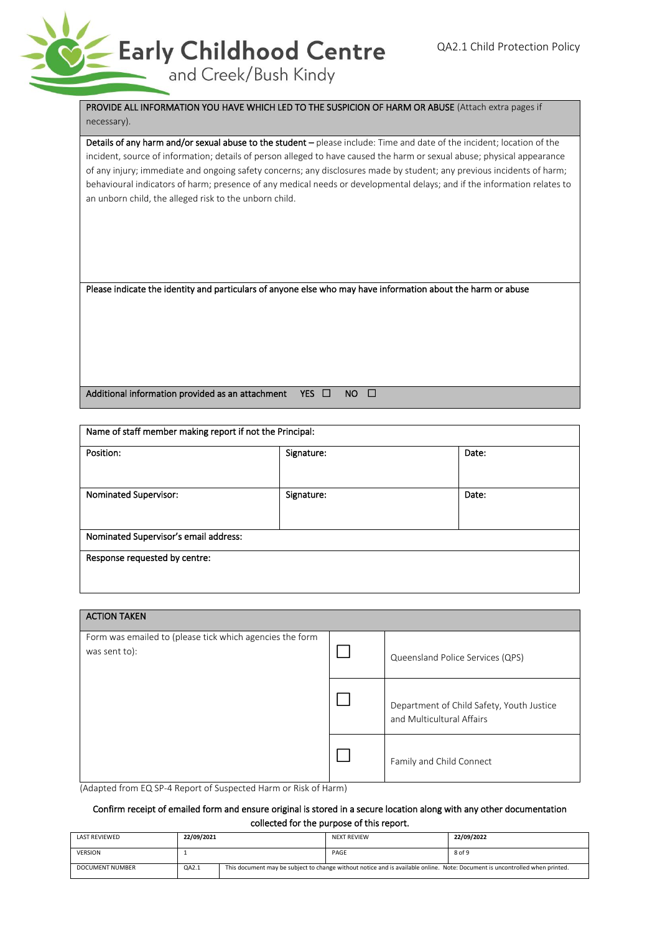

#### PROVIDE ALL INFORMATION YOU HAVE WHICH LED TO THE SUSPICION OF HARM OR ABUSE (Attach extra pages if necessary).

Details of any harm and/or sexual abuse to the student - please include: Time and date of the incident; location of the incident, source of information; details of person alleged to have caused the harm or sexual abuse; physical appearance of any injury; immediate and ongoing safety concerns; any disclosures made by student; any previous incidents of harm; behavioural indicators of harm; presence of any medical needs or developmental delays; and if the information relates to an unborn child, the alleged risk to the unborn child.

Please indicate the identity and particulars of anyone else who may have information about the harm or abuse

Additional information provided as an attachment YES  $\Box$  NO  $\Box$ 

| Name of staff member making report if not the Principal: |            |       |  |  |  |  |
|----------------------------------------------------------|------------|-------|--|--|--|--|
| Position:                                                | Signature: | Date: |  |  |  |  |
| Nominated Supervisor:                                    | Signature: | Date: |  |  |  |  |
| Nominated Supervisor's email address:                    |            |       |  |  |  |  |
| Response requested by centre:                            |            |       |  |  |  |  |

| <b>ACTION TAKEN</b>                                                                                                                                                                |  |                                                                        |  |  |  |  |  |
|------------------------------------------------------------------------------------------------------------------------------------------------------------------------------------|--|------------------------------------------------------------------------|--|--|--|--|--|
| Form was emailed to (please tick which agencies the form<br>was sent to):                                                                                                          |  | Queensland Police Services (QPS)                                       |  |  |  |  |  |
|                                                                                                                                                                                    |  | Department of Child Safety, Youth Justice<br>and Multicultural Affairs |  |  |  |  |  |
| $\mathbf{r}$ , and $\mathbf{r}$ , and $\mathbf{r}$ , and $\mathbf{r}$ , and $\mathbf{r}$ , and $\mathbf{r}$ , and $\mathbf{r}$<br>$\sim$ $\sim$ $\sim$ $\sim$ $\sim$ $\sim$ $\sim$ |  | Family and Child Connect                                               |  |  |  |  |  |

(Adapted from EQ SP-4 Report of Suspected Harm or Risk of Harm)

#### Confirm receipt of emailed form and ensure original is stored in a secure location along with any other documentation collected for the purpose of this report.

| <b>LAST REVIEWED</b> | 22/09/2021 |                                                                                                                             | <b>NEXT REVIEW</b> | 22/09/2022 |  |
|----------------------|------------|-----------------------------------------------------------------------------------------------------------------------------|--------------------|------------|--|
| <b>VERSION</b>       |            |                                                                                                                             | PAGE               | 8 of 9     |  |
| DOCUMENT NUMBER      | QA2.1      | This document may be subject to change without notice and is available online. Note: Document is uncontrolled when printed. |                    |            |  |